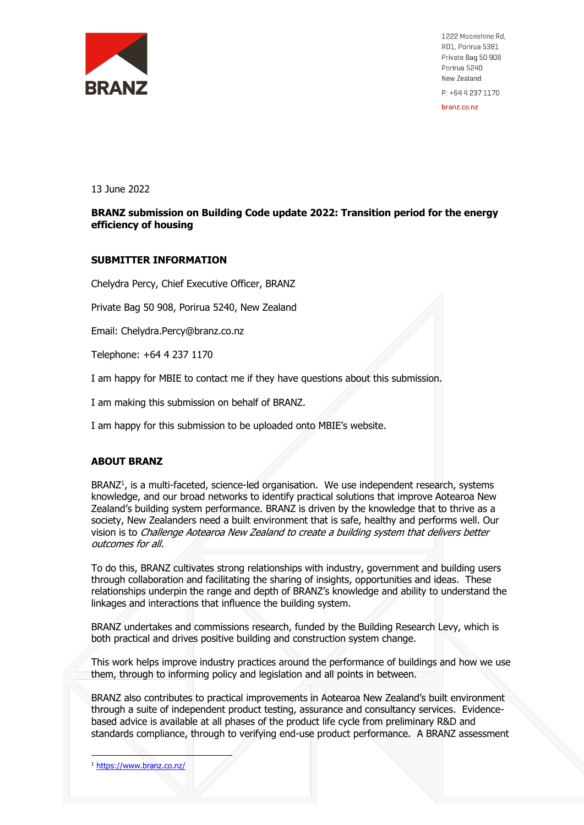

1222 Moonshine Rd, RD1, Porirua 5381 Private Bag 50 908 Porirua 5240 New Zealand P: +64 4 237 1170

hranz co nz

13 June 2022

### **BRANZ submission on Building Code update 2022: Transition period for the energy efficiency of housing**

#### **SUBMITTER INFORMATION**

Chelydra Percy, Chief Executive Officer, BRANZ

Private Bag 50 908, Porirua 5240, New Zealand

Email: Chelydra.Percy@branz.co.nz

Telephone: +64 4 237 1170

I am happy for MBIE to contact me if they have questions about this submission.

I am making this submission on behalf of BRANZ.

I am happy for this submission to be uploaded onto MBIE's website.

### **ABOUT BRANZ**

BRANZ<sup>1</sup>, is a multi-faceted, science-led organisation. We use independent research, systems knowledge, and our broad networks to identify practical solutions that improve Aotearoa New Zealand's building system performance. BRANZ is driven by the knowledge that to thrive as a society, New Zealanders need a built environment that is safe, healthy and performs well. Our vision is to Challenge Aotearoa New Zealand to create a building system that delivers better outcomes for all.

To do this, BRANZ cultivates strong relationships with industry, government and building users through collaboration and facilitating the sharing of insights, opportunities and ideas. These relationships underpin the range and depth of BRANZ's knowledge and ability to understand the linkages and interactions that influence the building system.

BRANZ undertakes and commissions research, funded by the Building Research Levy, which is both practical and drives positive building and construction system change.

This work helps improve industry practices around the performance of buildings and how we use them, through to informing policy and legislation and all points in between.

BRANZ also contributes to practical improvements in Aotearoa New Zealand's built environment through a suite of independent product testing, assurance and consultancy services. Evidencebased advice is available at all phases of the product life cycle from preliminary R&D and standards compliance, through to verifying end-use product performance. A BRANZ assessment

<sup>1</sup> https://www.branz.co.nz/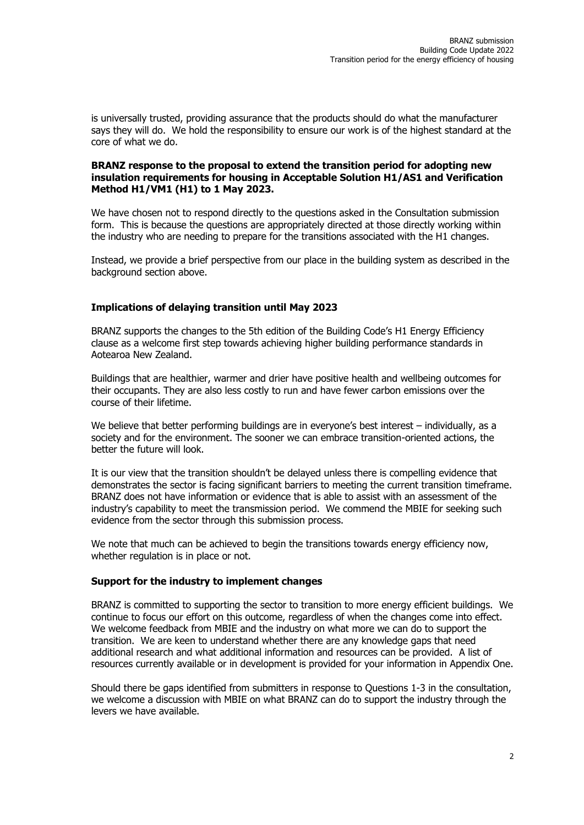is universally trusted, providing assurance that the products should do what the manufacturer says they will do. We hold the responsibility to ensure our work is of the highest standard at the core of what we do.

#### **BRANZ response to the proposal to extend the transition period for adopting new insulation requirements for housing in Acceptable Solution H1/AS1 and Verification Method H1/VM1 (H1) to 1 May 2023.**

We have chosen not to respond directly to the questions asked in the Consultation submission form. This is because the questions are appropriately directed at those directly working within the industry who are needing to prepare for the transitions associated with the H1 changes.

Instead, we provide a brief perspective from our place in the building system as described in the background section above.

## **Implications of delaying transition until May 2023**

BRANZ supports the changes to the 5th edition of the Building Code's H1 Energy Efficiency clause as a welcome first step towards achieving higher building performance standards in Aotearoa New Zealand.

Buildings that are healthier, warmer and drier have positive health and wellbeing outcomes for their occupants. They are also less costly to run and have fewer carbon emissions over the course of their lifetime.

We believe that better performing buildings are in everyone's best interest – individually, as a society and for the environment. The sooner we can embrace transition-oriented actions, the better the future will look.

It is our view that the transition shouldn't be delayed unless there is compelling evidence that demonstrates the sector is facing significant barriers to meeting the current transition timeframe. BRANZ does not have information or evidence that is able to assist with an assessment of the industry's capability to meet the transmission period. We commend the MBIE for seeking such evidence from the sector through this submission process.

We note that much can be achieved to begin the transitions towards energy efficiency now, whether regulation is in place or not.

### **Support for the industry to implement changes**

BRANZ is committed to supporting the sector to transition to more energy efficient buildings. We continue to focus our effort on this outcome, regardless of when the changes come into effect. We welcome feedback from MBIE and the industry on what more we can do to support the transition. We are keen to understand whether there are any knowledge gaps that need additional research and what additional information and resources can be provided. A list of resources currently available or in development is provided for your information in Appendix One.

Should there be gaps identified from submitters in response to Questions 1-3 in the consultation, we welcome a discussion with MBIE on what BRANZ can do to support the industry through the levers we have available.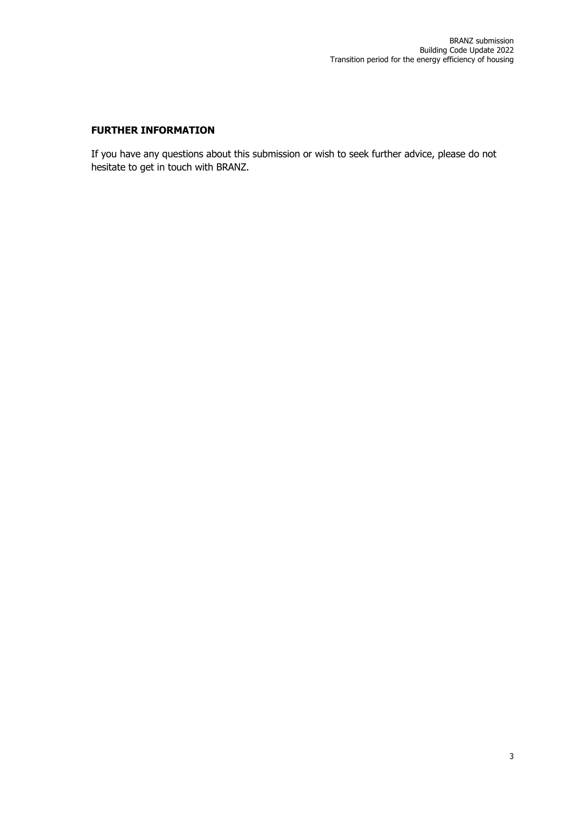# **FURTHER INFORMATION**

If you have any questions about this submission or wish to seek further advice, please do not hesitate to get in touch with BRANZ.